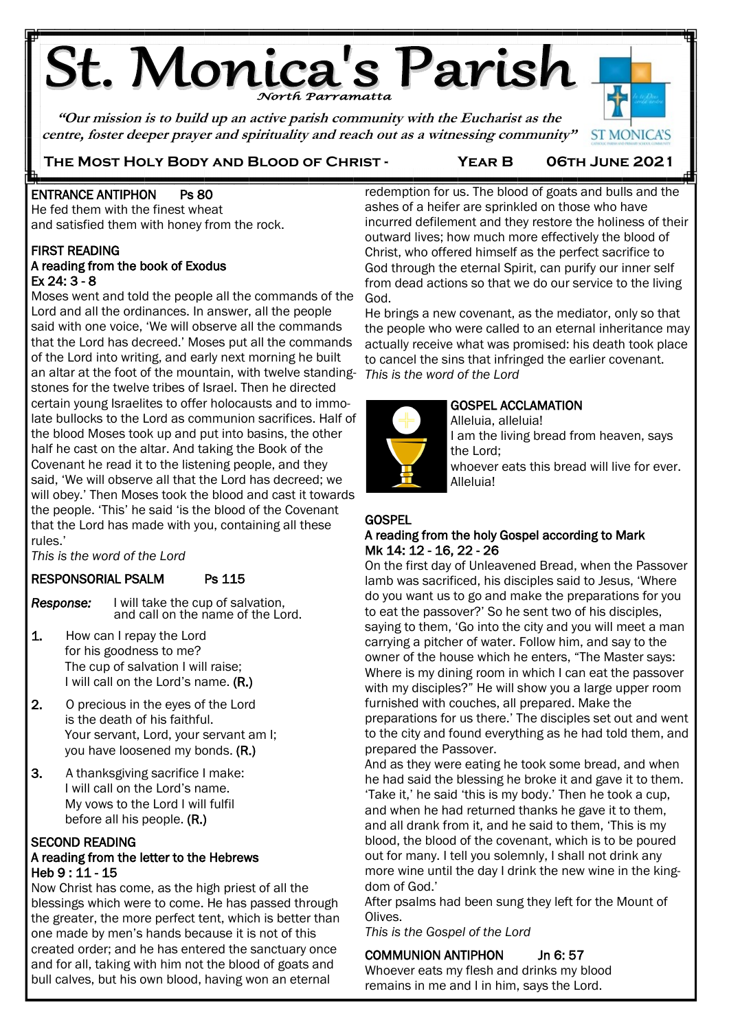# **St. Monica's Parish**

**"Our mission is to build up an active parish community with the Eucharist as the centre, foster deeper prayer and spirituality and reach out as a witnessing community"**



#### **The Most Holy Body and Blood of Christ - Year B 06th June 2021**

#### Ë ENTRANCE ANTIPHON Ps 80

He fed them with the finest wheat and satisfied them with honey from the rock.

#### FIRST READING

Ë

#### A reading from the book of Exodus Ex 24: 3 - 8

Moses went and told the people all the commands of the Lord and all the ordinances. In answer, all the people said with one voice, 'We will observe all the commands that the Lord has decreed.' Moses put all the commands of the Lord into writing, and early next morning he built an altar at the foot of the mountain, with twelve standing-*This is the word of the Lord* stones for the twelve tribes of Israel. Then he directed certain young Israelites to offer holocausts and to immolate bullocks to the Lord as communion sacrifices. Half of the blood Moses took up and put into basins, the other half he cast on the altar. And taking the Book of the Covenant he read it to the listening people, and they said, 'We will observe all that the Lord has decreed; we will obey.' Then Moses took the blood and cast it towards the people. 'This' he said 'is the blood of the Covenant that the Lord has made with you, containing all these rules.'

*This is the word of the Lord*

# RESPONSORIAL PSALM Ps 115

Response: *Response:* I will take the cup of salvation, and call on the name of the Lord.

- 1. How can I repay the Lord for his goodness to me? The cup of salvation I will raise; I will call on the Lord's name. (R.)
- $2.$ 2. O precious in the eyes of the Lord is the death of his faithful. Your servant, Lord, your servant am I; you have loosened my bonds. (R.)
- 3. A thanksgiving sacrifice I make: I will call on the Lord's name. My vows to the Lord I will fulfil before all his people. (R.)

#### SECOND READING A reading from the letter to the Hebrews Heb 9 : 11 - 15

Now Christ has come, as the high priest of all the blessings which were to come. He has passed through the greater, the more perfect tent, which is better than one made by men's hands because it is not of this created order; and he has entered the sanctuary once and for all, taking with him not the blood of goats and bull calves, but his own blood, having won an eternal

redemption for us. The blood of goats and bulls and the ashes of a heifer are sprinkled on those who have incurred defilement and they restore the holiness of their outward lives; how much more effectively the blood of Christ, who offered himself as the perfect sacrifice to God through the eternal Spirit, can purify our inner self from dead actions so that we do our service to the living God.

He brings a new covenant, as the mediator, only so that the people who were called to an eternal inheritance may actually receive what was promised: his death took place to cancel the sins that infringed the earlier covenant.



#### GOSPEL ACCLAMATION

Alleluia, alleluia! I am the living bread from heaven, says the Lord;

whoever eats this bread will live for ever. Alleluia!

#### **GOSPEL**

#### A reading from the holy Gospel according to Mark Mk 14: 12 - 16, 22 - 26

On the first day of Unleavened Bread, when the Passover lamb was sacrificed, his disciples said to Jesus, 'Where do you want us to go and make the preparations for you to eat the passover?' So he sent two of his disciples, saying to them, 'Go into the city and you will meet a man carrying a pitcher of water. Follow him, and say to the owner of the house which he enters, "The Master says: Where is my dining room in which I can eat the passover with my disciples?" He will show you a large upper room furnished with couches, all prepared. Make the preparations for us there.' The disciples set out and went to the city and found everything as he had told them, and prepared the Passover.

And as they were eating he took some bread, and when he had said the blessing he broke it and gave it to them. 'Take it,' he said 'this is my body.' Then he took a cup, and when he had returned thanks he gave it to them, and all drank from it, and he said to them, 'This is my blood, the blood of the covenant, which is to be poured out for many. I tell you solemnly, I shall not drink any more wine until the day I drink the new wine in the kingdom of God.'

After psalms had been sung they left for the Mount of Olives.

*This is the Gospel of the Lord*

#### COMMUNION ANTIPHON Jn 6: 57

Whoever eats my flesh and drinks my blood remains in me and I in him, says the Lord.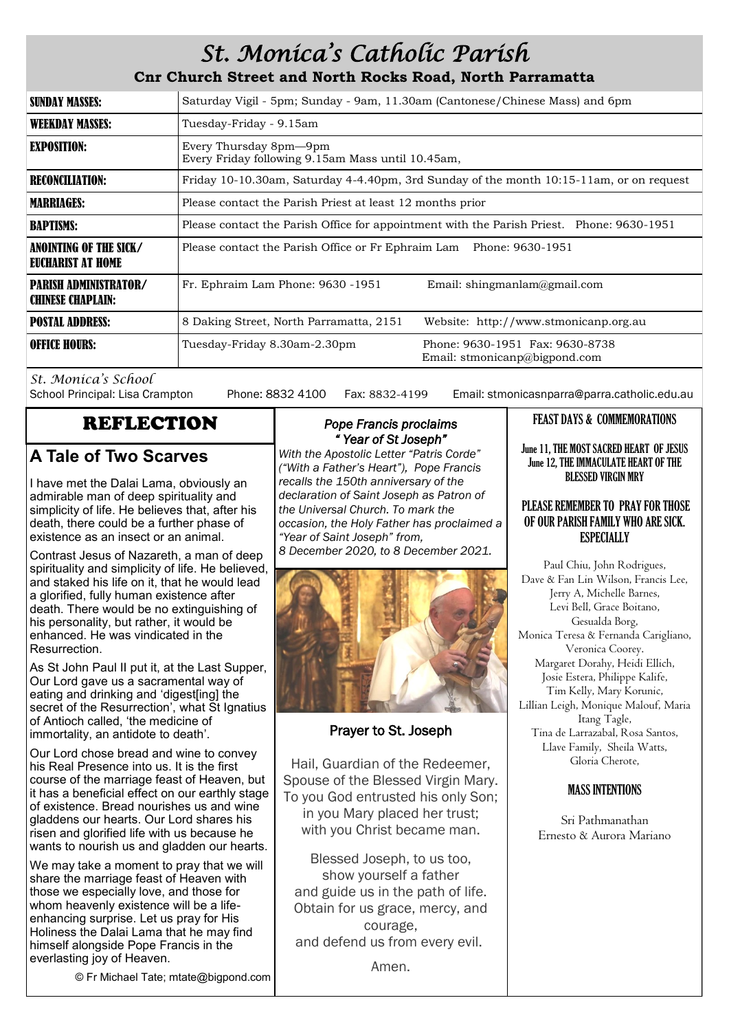# *St. Monica's Catholic Parish*

**Cnr Church Street and North Rocks Road, North Parramatta**

| SUNDAY MASSES:                                           | Saturday Vigil - 5pm; Sunday - 9am, 11.30am (Cantonese/Chinese Mass) and 6pm              |                                                                  |  |
|----------------------------------------------------------|-------------------------------------------------------------------------------------------|------------------------------------------------------------------|--|
| <b>WEEKDAY MASSES:</b>                                   | Tuesday-Friday - 9.15am                                                                   |                                                                  |  |
| <b>EXPOSITION:</b>                                       | Every Thursday 8pm—9pm<br>Every Friday following 9.15am Mass until 10.45am,               |                                                                  |  |
| <b>RECONCILIATION:</b>                                   | Friday 10-10.30am, Saturday 4-4.40pm, 3rd Sunday of the month 10:15-11am, or on request   |                                                                  |  |
| <b>MARRIAGES:</b>                                        | Please contact the Parish Priest at least 12 months prior                                 |                                                                  |  |
| <b>BAPTISMS:</b>                                         | Please contact the Parish Office for appointment with the Parish Priest. Phone: 9630-1951 |                                                                  |  |
| ANOINTING OF THE SICK/<br>EUCHARIST AT HOME              | Please contact the Parish Office or Fr Ephraim Lam Phone: 9630-1951                       |                                                                  |  |
| <b>PARISH ADMINISTRATOR/</b><br><b>CHINESE CHAPLAIN:</b> | Fr. Ephraim Lam Phone: 9630 -1951                                                         | Email: shingmanlam@gmail.com                                     |  |
| <b>POSTAL ADDRESS:</b>                                   | 8 Daking Street, North Parramatta, 2151                                                   | Website: http://www.stmonicanp.org.au                            |  |
| <b>OFFICE HOURS:</b>                                     | Tuesday-Friday 8.30am-2.30pm                                                              | Phone: 9630-1951 Fax: 9630-8738<br>Email: stmonicanp@bigpond.com |  |

*St. Monica's School*

Phone: 8832 4100 Fax: 8832-4199 Email: stmonicasnparra@parra.catholic.edu.au

### **A Tale of Two Scarves**

I have met the Dalai Lama, obviously an admirable man of deep spirituality and simplicity of life. He believes that, after his death, there could be a further phase of existence as an insect or an animal.

Contrast Jesus of Nazareth, a man of deep spirituality and simplicity of life. He believed, and staked his life on it, that he would lead a glorified, fully human existence after death. There would be no extinguishing of his personality, but rather, it would be enhanced. He was vindicated in the Resurrection.

As St John Paul II put it, at the Last Supper, Our Lord gave us a sacramental way of eating and drinking and 'digest[ing] the secret of the Resurrection', what St Ignatius of Antioch called, 'the medicine of immortality, an antidote to death'.

Our Lord chose bread and wine to convey his Real Presence into us. It is the first course of the marriage feast of Heaven, but it has a beneficial effect on our earthly stage of existence. Bread nourishes us and wine gladdens our hearts. Our Lord shares his risen and glorified life with us because he wants to nourish us and gladden our hearts.

We may take a moment to pray that we will share the marriage feast of Heaven with those we especially love, and those for whom heavenly existence will be a lifeenhancing surprise. Let us pray for His Holiness the Dalai Lama that he may find himself alongside Pope Francis in the everlasting joy of Heaven.

© Fr Michael Tate; mtate@bigpond.com

#### REFLECTION *Pope Francis proclaims " Year of St Joseph"*

*With the Apostolic Letter "Patris Corde" ("With a Father's Heart"), Pope Francis recalls the 150th anniversary of the declaration of Saint Joseph as Patron of the Universal Church. To mark the occasion, the Holy Father has proclaimed a "Year of Saint Joseph" from,* 

*8 December 2020, to 8 December 2021.* 



#### Prayer to St. Joseph

Hail, Guardian of the Redeemer, Spouse of the Blessed Virgin Mary. To you God entrusted his only Son; in you Mary placed her trust; with you Christ became man.

Blessed Joseph, to us too, show yourself a father and guide us in the path of life. Obtain for us grace, mercy, and courage, and defend us from every evil.

Amen.

## FEAST DAYS & COMMEMORATIONS

June 11, THE MOST SACRED HEART OF JESUS June 12, THE IMMACULATE HEART OF THE BLESSED VIRGIN MRY

#### PLEASE REMEMBER TO PRAY FOR THOSE OF OUR PARISH FAMILY WHO ARE SICK. ESPECIALLY

Paul Chiu, John Rodrigues, Dave & Fan Lin Wilson, Francis Lee, Jerry A, Michelle Barnes, Levi Bell, Grace Boitano, Gesualda Borg, Monica Teresa & Fernanda Carigliano, Veronica Coorey. Margaret Dorahy, Heidi Ellich, Josie Estera, Philippe Kalife, Tim Kelly, Mary Korunic, Lillian Leigh, Monique Malouf, Maria Itang Tagle, Tina de Larrazabal, Rosa Santos, Llave Family, Sheila Watts, Gloria Cherote,

#### MASS INTENTIONS

Sri Pathmanathan Ernesto & Aurora Mariano